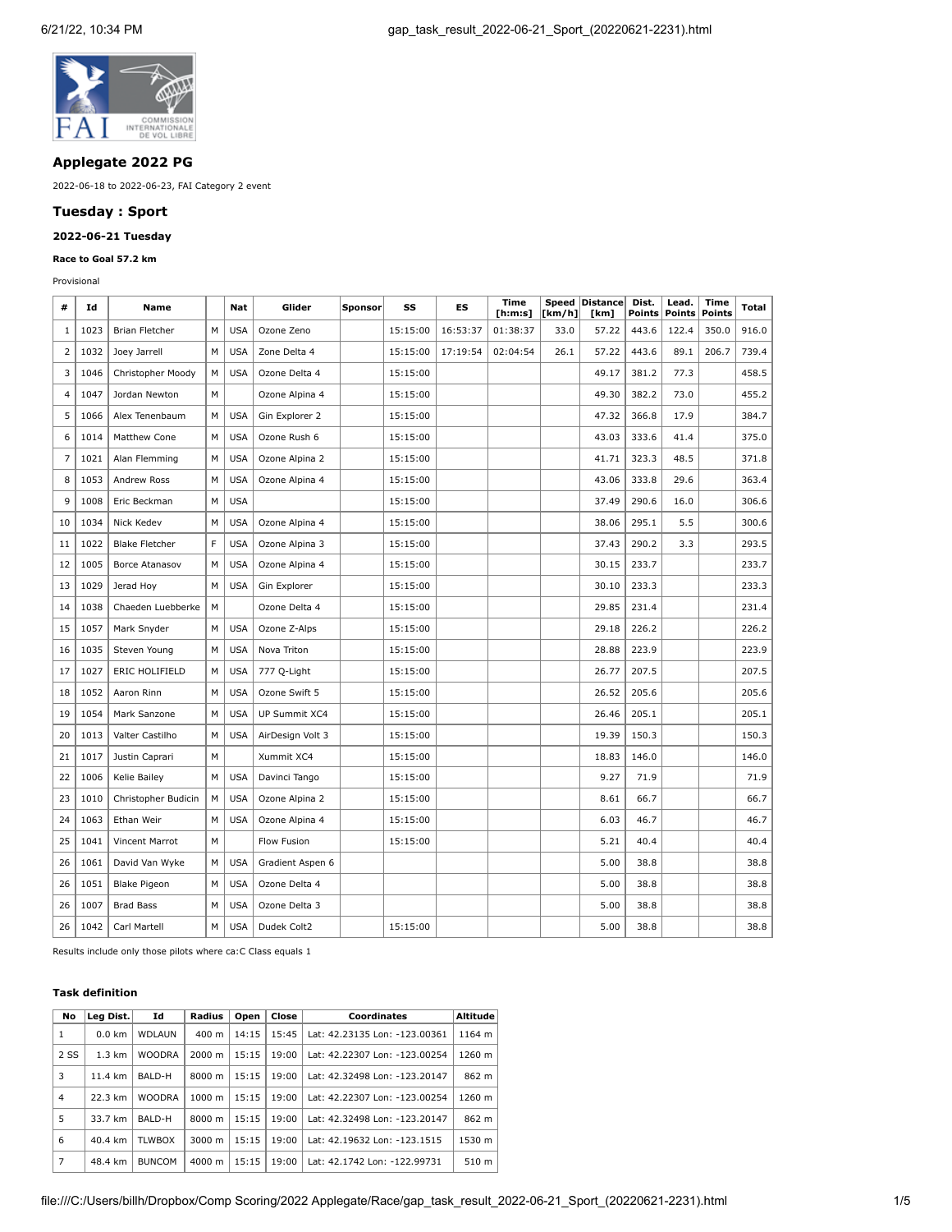

## **Applegate 2022 PG**

2022-06-18 to 2022-06-23, FAI Category 2 event

## **Tuesday : Sport**

# **2022-06-21 Tuesday**

### **Race to Goal 57.2 km**

Provisional

| #              | Id   | Name                  |   | Nat        | Glider           | <b>Sponsor</b> | SS       | ES       | Time<br>[ <b>h</b> : <b>m</b> : <b>s</b> ] | [km/h] | Speed Distance<br>[km] | Dist.<br>Points | Lead.<br><b>Points</b> | Time<br><b>Points</b> | Total |
|----------------|------|-----------------------|---|------------|------------------|----------------|----------|----------|--------------------------------------------|--------|------------------------|-----------------|------------------------|-----------------------|-------|
| 1              | 1023 | <b>Brian Fletcher</b> | M | <b>USA</b> | Ozone Zeno       |                | 15:15:00 | 16:53:37 | 01:38:37                                   | 33.0   | 57.22                  | 443.6           | 122.4                  | 350.0                 | 916.0 |
| $\overline{2}$ | 1032 | Joey Jarrell          | М | <b>USA</b> | Zone Delta 4     |                | 15:15:00 | 17:19:54 | 02:04:54                                   | 26.1   | 57.22                  | 443.6           | 89.1                   | 206.7                 | 739.4 |
| $\overline{3}$ | 1046 | Christopher Moody     | М | <b>USA</b> | Ozone Delta 4    |                | 15:15:00 |          |                                            |        | 49.17                  | 381.2           | 77.3                   |                       | 458.5 |
| $\overline{4}$ | 1047 | Jordan Newton         | М |            | Ozone Alpina 4   |                | 15:15:00 |          |                                            |        | 49.30                  | 382.2           | 73.0                   |                       | 455.2 |
| 5              | 1066 | Alex Tenenbaum        | M | <b>USA</b> | Gin Explorer 2   |                | 15:15:00 |          |                                            |        | 47.32                  | 366.8           | 17.9                   |                       | 384.7 |
| 6              | 1014 | Matthew Cone          | М | <b>USA</b> | Ozone Rush 6     |                | 15:15:00 |          |                                            |        | 43.03                  | 333.6           | 41.4                   |                       | 375.0 |
| $\overline{7}$ | 1021 | Alan Flemming         | м | <b>USA</b> | Ozone Alpina 2   |                | 15:15:00 |          |                                            |        | 41.71                  | 323.3           | 48.5                   |                       | 371.8 |
| 8              | 1053 | Andrew Ross           | М | <b>USA</b> | Ozone Alpina 4   |                | 15:15:00 |          |                                            |        | 43.06                  | 333.8           | 29.6                   |                       | 363.4 |
| 9              | 1008 | Eric Beckman          | М | <b>USA</b> |                  |                | 15:15:00 |          |                                            |        | 37.49                  | 290.6           | 16.0                   |                       | 306.6 |
| 10             | 1034 | Nick Kedev            | М | <b>USA</b> | Ozone Alpina 4   |                | 15:15:00 |          |                                            |        | 38.06                  | 295.1           | 5.5                    |                       | 300.6 |
| 11             | 1022 | <b>Blake Fletcher</b> | F | <b>USA</b> | Ozone Alpina 3   |                | 15:15:00 |          |                                            |        | 37.43                  | 290.2           | 3.3                    |                       | 293.5 |
| 12             | 1005 | Borce Atanasov        | M | <b>USA</b> | Ozone Alpina 4   |                | 15:15:00 |          |                                            |        | 30.15                  | 233.7           |                        |                       | 233.7 |
| 13             | 1029 | Jerad Hoy             | М | <b>USA</b> | Gin Explorer     |                | 15:15:00 |          |                                            |        | 30.10                  | 233.3           |                        |                       | 233.3 |
| 14             | 1038 | Chaeden Luebberke     | M |            | Ozone Delta 4    |                | 15:15:00 |          |                                            |        | 29.85                  | 231.4           |                        |                       | 231.4 |
| 15             | 1057 | Mark Snyder           | М | <b>USA</b> | Ozone Z-Alps     |                | 15:15:00 |          |                                            |        | 29.18                  | 226.2           |                        |                       | 226.2 |
| 16             | 1035 | Steven Young          | м | <b>USA</b> | Nova Triton      |                | 15:15:00 |          |                                            |        | 28.88                  | 223.9           |                        |                       | 223.9 |
| 17             | 1027 | ERIC HOLIFIELD        | М | <b>USA</b> | 777 Q-Light      |                | 15:15:00 |          |                                            |        | 26.77                  | 207.5           |                        |                       | 207.5 |
| 18             | 1052 | Aaron Rinn            | М | <b>USA</b> | Ozone Swift 5    |                | 15:15:00 |          |                                            |        | 26.52                  | 205.6           |                        |                       | 205.6 |
| 19             | 1054 | Mark Sanzone          | М | <b>USA</b> | UP Summit XC4    |                | 15:15:00 |          |                                            |        | 26.46                  | 205.1           |                        |                       | 205.1 |
| 20             | 1013 | Valter Castilho       | М | <b>USA</b> | AirDesign Volt 3 |                | 15:15:00 |          |                                            |        | 19.39                  | 150.3           |                        |                       | 150.3 |
| 21             | 1017 | Justin Caprari        | M |            | Xummit XC4       |                | 15:15:00 |          |                                            |        | 18.83                  | 146.0           |                        |                       | 146.0 |
| 22             | 1006 | Kelie Bailey          | М | <b>USA</b> | Davinci Tango    |                | 15:15:00 |          |                                            |        | 9.27                   | 71.9            |                        |                       | 71.9  |
| 23             | 1010 | Christopher Budicin   | М | <b>USA</b> | Ozone Alpina 2   |                | 15:15:00 |          |                                            |        | 8.61                   | 66.7            |                        |                       | 66.7  |
| 24             | 1063 | Ethan Weir            | М | <b>USA</b> | Ozone Alpina 4   |                | 15:15:00 |          |                                            |        | 6.03                   | 46.7            |                        |                       | 46.7  |
| 25             | 1041 | Vincent Marrot        | М |            | Flow Fusion      |                | 15:15:00 |          |                                            |        | 5.21                   | 40.4            |                        |                       | 40.4  |
| 26             | 1061 | David Van Wyke        | М | <b>USA</b> | Gradient Aspen 6 |                |          |          |                                            |        | 5.00                   | 38.8            |                        |                       | 38.8  |
| 26             | 1051 | <b>Blake Pigeon</b>   | м | <b>USA</b> | Ozone Delta 4    |                |          |          |                                            |        | 5.00                   | 38.8            |                        |                       | 38.8  |
| 26             | 1007 | <b>Brad Bass</b>      | М | <b>USA</b> | Ozone Delta 3    |                |          |          |                                            |        | 5.00                   | 38.8            |                        |                       | 38.8  |
| 26             | 1042 | Carl Martell          | M | <b>USA</b> | Dudek Colt2      |                | 15:15:00 |          |                                            |        | 5.00                   | 38.8            |                        |                       | 38.8  |

Results include only those pilots where ca:C Class equals 1

#### **Task definition**

| No             | Leg Dist.        | Id            | Radius             | Open  | Close | Coordinates                   | Altitude |
|----------------|------------------|---------------|--------------------|-------|-------|-------------------------------|----------|
| 1              | $0.0 \text{ km}$ | <b>WDLAUN</b> | $400 \text{ m}$    | 14:15 | 15:45 | Lat: 42.23135 Lon: -123.00361 | 1164 m   |
| 2 SS           | $1.3 \text{ km}$ | <b>WOODRA</b> | $2000 \; \text{m}$ | 15:15 | 19:00 | Lat: 42.22307 Lon: -123.00254 | 1260 m   |
| 3              | 11.4 km          | BALD-H        | 8000 m             | 15:15 | 19:00 | Lat: 42.32498 Lon: -123.20147 | 862 m    |
| $\overline{4}$ | 22.3 km          | <b>WOODRA</b> | $1000 \text{ m}$   | 15:15 | 19:00 | Lat: 42.22307 Lon: -123.00254 | 1260 m   |
| 5              | 33.7 km          | BALD-H        | 8000 m             | 15:15 | 19:00 | Lat: 42.32498 Lon: -123.20147 | 862 m    |
| 6              | 40.4 km          | <b>TLWBOX</b> | 3000 m             | 15:15 | 19:00 | Lat: 42.19632 Lon: -123.1515  | 1530 m   |
| 7              | 48.4 km          | <b>BUNCOM</b> | 4000 m             | 15:15 | 19:00 | Lat: 42.1742 Lon: -122.99731  | 510 m    |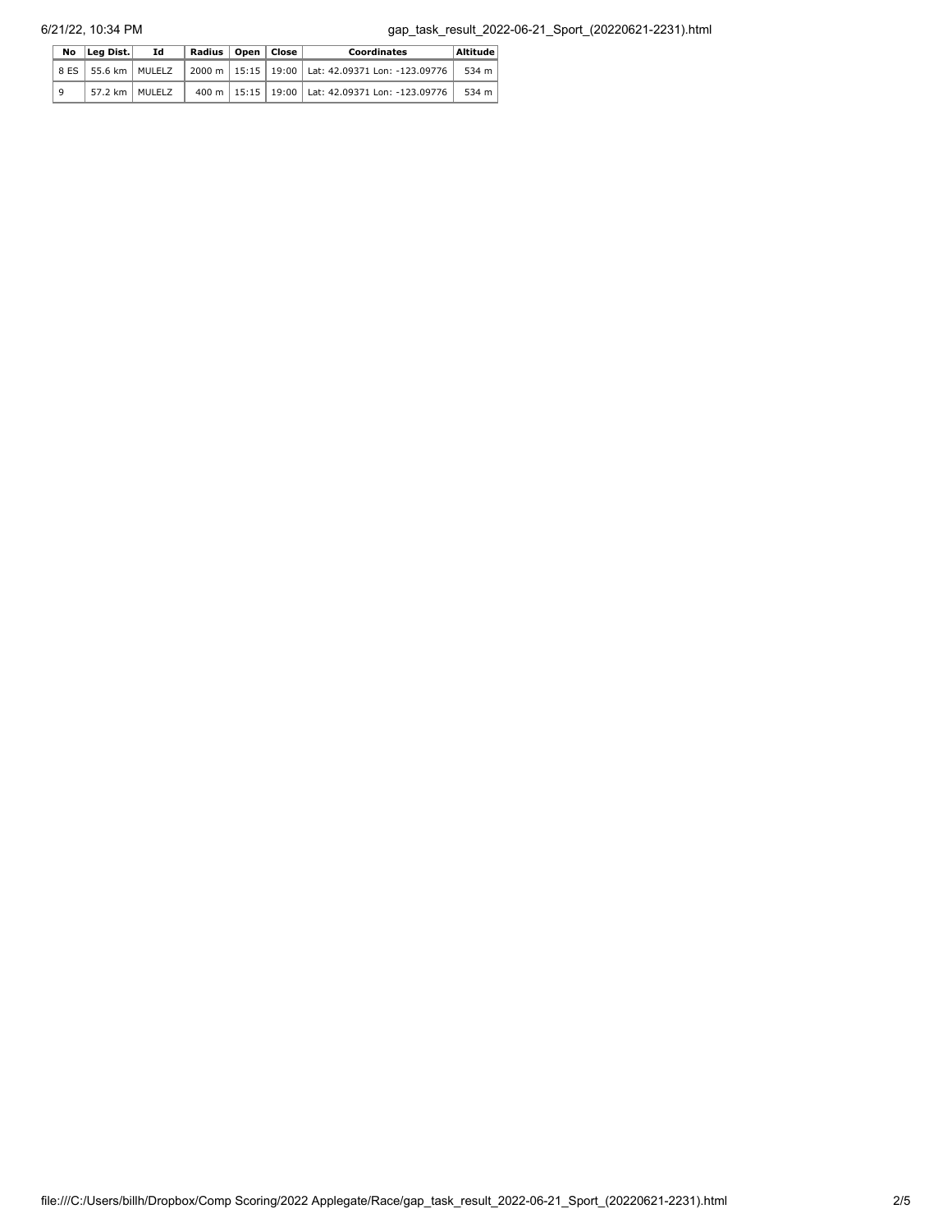|   | No Lea Dist.            | Id | Radius   Open   Close |  | Coordinates                                                    | Altitude |
|---|-------------------------|----|-----------------------|--|----------------------------------------------------------------|----------|
|   | 8 ES   55.6 km   MULELZ |    |                       |  | 2000 m   15:15   19:00   Lat: 42.09371 Lon: -123.09776   534 m |          |
| 9 | 57.2 km   MULELZ        |    |                       |  | 400 m   15:15   19:00   Lat: 42.09371 Lon: -123.09776          | 534 m    |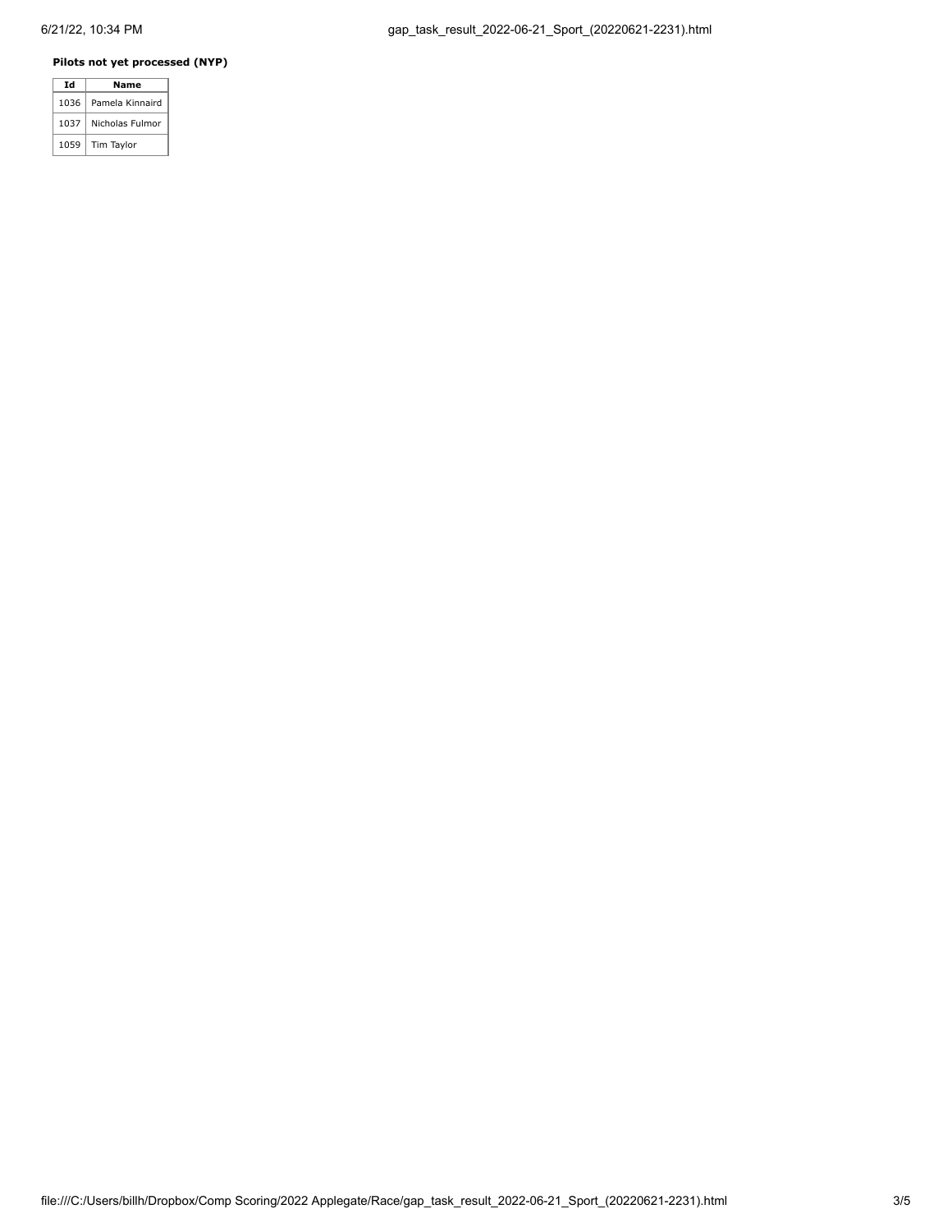### **Pilots not yet processed (NYP)**

| Id   | Name            |  |  |  |  |
|------|-----------------|--|--|--|--|
| 1036 | Pamela Kinnaird |  |  |  |  |
| 1037 | Nicholas Fulmor |  |  |  |  |
| 1059 | Tim Taylor      |  |  |  |  |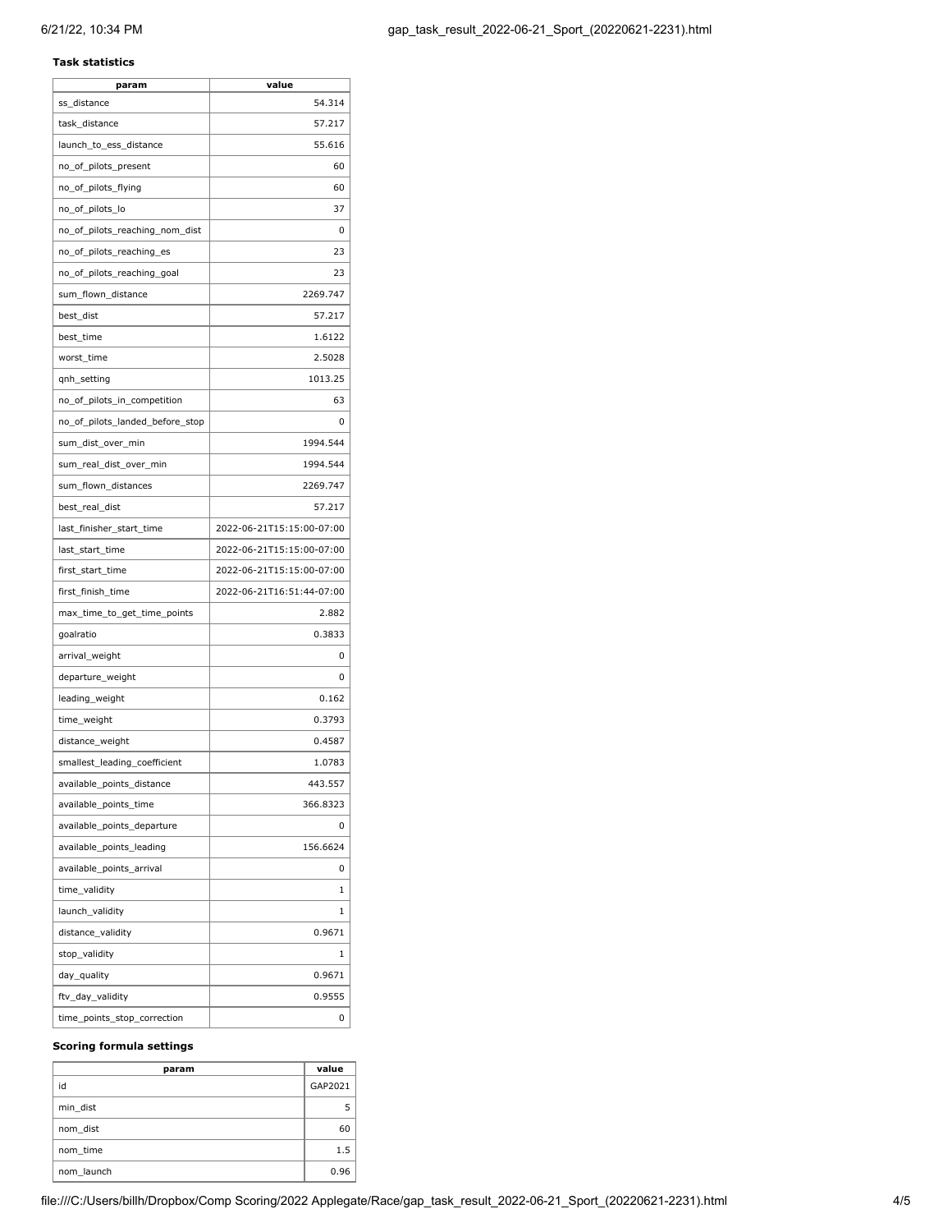### **Task statistics**

| param                           | value                     |
|---------------------------------|---------------------------|
| ss_distance                     | 54.314                    |
| task_distance                   | 57.217                    |
| launch_to_ess_distance          | 55.616                    |
| no_of_pilots_present            | 60                        |
| no_of_pilots_flying             | 60                        |
| no_of_pilots_lo                 | 37                        |
| no_of_pilots_reaching_nom_dist  | 0                         |
| no_of_pilots_reaching_es        | 23                        |
| no_of_pilots_reaching_goal      | 23                        |
| sum_flown_distance              | 2269.747                  |
| best_dist                       | 57.217                    |
| best_time                       | 1.6122                    |
| worst_time                      | 2.5028                    |
| qnh_setting                     | 1013.25                   |
| no_of_pilots_in_competition     | 63                        |
| no_of_pilots_landed_before_stop | 0                         |
| sum_dist_over_min               | 1994.544                  |
| sum_real_dist_over_min          | 1994.544                  |
| sum_flown_distances             | 2269.747                  |
| best_real_dist                  | 57.217                    |
| last_finisher_start_time        | 2022-06-21T15:15:00-07:00 |
| last_start_time                 | 2022-06-21T15:15:00-07:00 |
| first_start_time                | 2022-06-21T15:15:00-07:00 |
| first_finish_time               | 2022-06-21T16:51:44-07:00 |
| max_time_to_get_time_points     | 2.882                     |
| goalratio                       | 0.3833                    |
| arrival_weight                  | 0                         |
| departure_weight                | 0                         |
| leading_weight                  | 0.162                     |
| time_weight                     | 0.3793                    |
| distance_weight                 | 0.4587                    |
| smallest_leading_coefficient    | 1.0783                    |
| available_points_distance       | 443.557                   |
| available_points_time           | 366.8323                  |
| available_points_departure      | 0                         |
| available_points_leading        | 156.6624                  |
| available_points_arrival        | 0                         |
| time_validity                   | 1                         |
| launch_validity                 | 1                         |
| distance_validity               | 0.9671                    |
| stop_validity                   | 1                         |
| day_quality                     | 0.9671                    |
| ftv_day_validity                | 0.9555                    |
| time_points_stop_correction     | 0                         |
|                                 |                           |

#### **Scoring formula settings**

| param      | value   |
|------------|---------|
| id         | GAP2021 |
| min dist   |         |
| nom dist   | 60      |
| nom time   | 1.5     |
| nom launch | 0.96    |